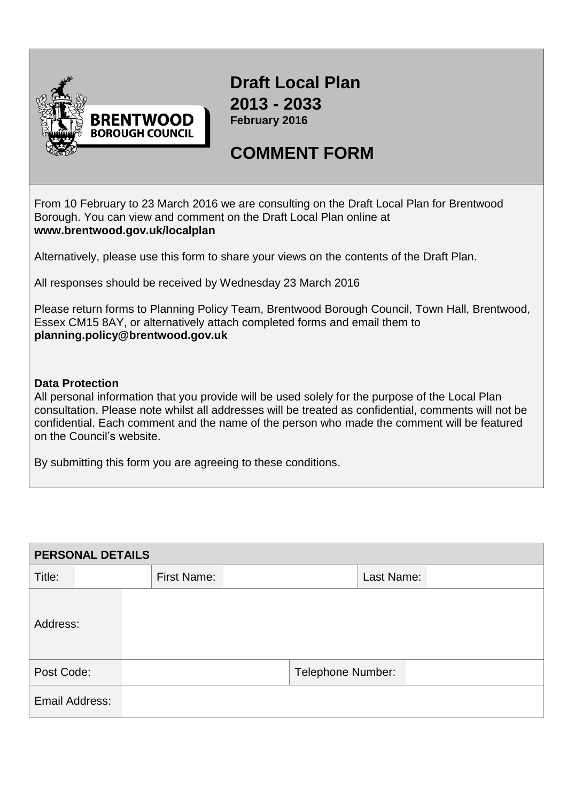

**Draft Local Plan 2013 - 2033 February 2016**

## **COMMENT FORM**

From 10 February to 23 March 2016 we are consulting on the Draft Local Plan for Brentwood Borough. You can view and comment on the Draft Local Plan online at **[www.brentwood.gov.uk/localplan](http://www.brentwood.gov.uk/localplan)**

Alternatively, please use this form to share your views on the contents of the Draft Plan.

All responses should be received by Wednesday 23 March 2016

Please return forms to Planning Policy Team, Brentwood Borough Council, Town Hall, Brentwood, Essex CM15 8AY, or alternatively attach completed forms and email them to **[planning.policy@brentwood.gov.uk](mailto:planning.policy@brentwood.gov.uk)**

## **Data Protection**

All personal information that you provide will be used solely for the purpose of the Local Plan consultation. Please note whilst all addresses will be treated as confidential, comments will not be confidential. Each comment and the name of the person who made the comment will be featured on the Council's website.

By submitting this form you are agreeing to these conditions.

| <b>PERSONAL DETAILS</b> |  |                    |  |                          |            |  |  |
|-------------------------|--|--------------------|--|--------------------------|------------|--|--|
| Title:                  |  | <b>First Name:</b> |  |                          | Last Name: |  |  |
| Address:                |  |                    |  |                          |            |  |  |
| Post Code:              |  |                    |  | <b>Telephone Number:</b> |            |  |  |
| Email Address:          |  |                    |  |                          |            |  |  |